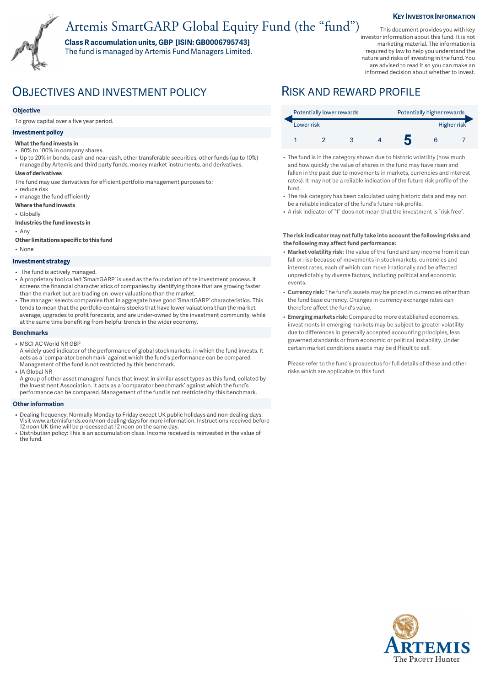# Artemis SmartGARP Global Equity Fund (the "fund")

**Class R accumulation units, GBP [ISIN: GB0006795743]**  The fund is managed by Artemis Fund Managers Limited.

This document provides you with key investor information about this fund. It is not marketing material. The information is required by law to help you understand the nature and risks of investing in the fund. You are advised to read it so you can make an informed decision about whether to invest.

**KEY INVESTOR INFORMATION** 

## OBJECTIVES AND INVESTMENT POLICY RISK AND REWARD PROFILE

### **Objective**

To grow capital over a five year period.

### **Investment policy**

- **What the fund invests in**
- 80% to 100% in company shares.
- Up to 20% in bonds, cash and near cash, other transferable securities, other funds (up to 10%) managed by Artemis and third party funds, money market instruments, and derivatives.
- **Use of derivatives**
- The fund may use derivatives for efficient portfolio management purposes to:
- reduce risk • manage the fund efficiently
- **Where the fund invests**
- Globally
- **Industries the fund invests in**
- Any
- **Other limitations specific to this fund**
- None

#### **Investment strategy**

- The fund is actively managed.
- A proprietary tool called 'SmartGARP' is used as the foundation of the investment process. It screens the financial characteristics of companies by identifying those that are growing faster than the market but are trading on lower valuations than the market.
- The manager selects companies that in aggregate have good 'SmartGARP' characteristics. This tends to mean that the portfolio contains stocks that have lower valuations than the market average, upgrades to profit forecasts, and are under-owned by the investment community, while at the same time benefiting from helpful trends in the wider economy.

#### **Benchmarks**

- MSCI AC World NR GBP
- A widely-used indicator of the performance of global stockmarkets, in which the fund invests. It acts as a 'comparator benchmark' against which the fund's performance can be compared. Management of the fund is not restricted by this benchmark. • IA Global NR
- A group of other asset managers' funds that invest in similar asset types as this fund, collated by the Investment Association. It acts as a 'comparator benchmark' against which the fund's performance can be compared. Management of the fund is not restricted by this benchmark.

#### **Other information**

- Dealing frequency: Normally Monday to Friday except UK public holidays and non-dealing days. Visit www.artemisfunds.com/non-dealing-days for more information. Instructions received before 12 noon UK time will be processed at 12 noon on the same day.
- Distribution policy: This is an accumulation class. Income received is reinvested in the value of the fund.

| Potentially lower rewards |  |  |  | Potentially higher rewards |  |  |
|---------------------------|--|--|--|----------------------------|--|--|
| Lower risk                |  |  |  | Higher risk                |  |  |
|                           |  |  |  |                            |  |  |

- The fund is in the category shown due to historic volatility (how much and how quickly the value of shares in the fund may have risen and fallen in the past due to movements in markets, currencies and interest rates). It may not be a reliable indication of the future risk profile of the fund.
- The risk category has been calculated using historic data and may not be a reliable indicator of the fund's future risk profile.
- A risk indicator of "1" does not mean that the investment is "risk free".

### **The risk indicator may not fully take into account the following risks and the following may affect fund performance:**

- **Market volatility risk:** The value of the fund and any income from it can fall or rise because of movements in stockmarkets, currencies and interest rates, each of which can move irrationally and be affected unpredictably by diverse factors, including political and economic events.
- **Currency risk:** The fund's assets may be priced in currencies other than the fund base currency. Changes in currency exchange rates can therefore affect the fund's value.
- **Emerging markets risk:** Compared to more established economies, investments in emerging markets may be subject to greater volatility due to differences in generally accepted accounting principles, less governed standards or from economic or political instability. Under certain market conditions assets may be difficult to sell.

Please refer to the fund's prospectus for full details of these and other risks which are applicable to this fund.